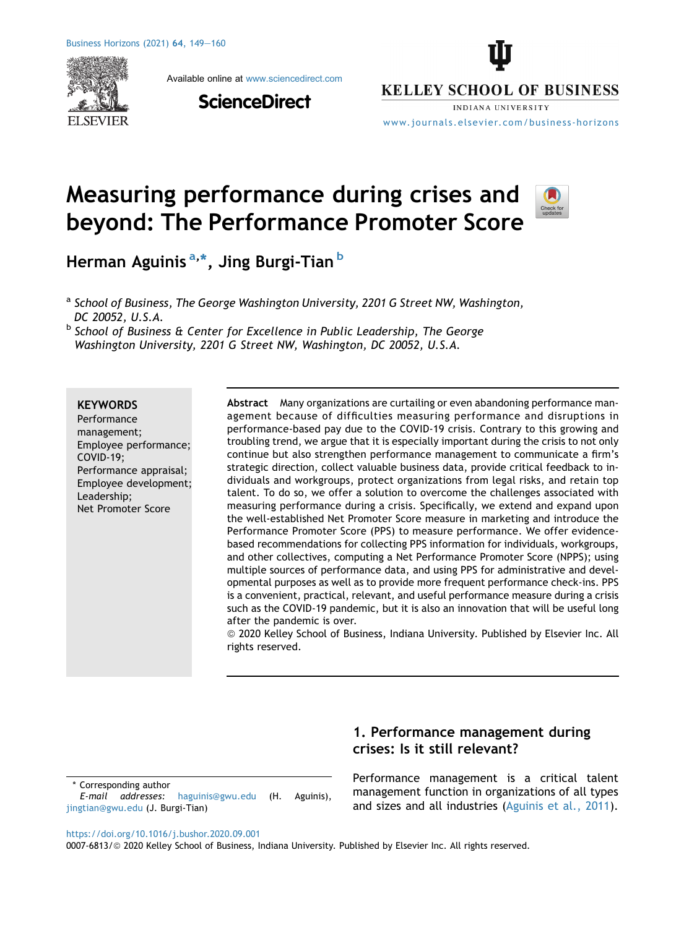

Available online at [www.sciencedirect.com](www.sciencedirect.com/science/journal/00076813)





**KELLEY SCHOOL OF BUSINESS** 

INDIANA UNIVERSITY <www.journals.elsevier.com/business-horizons>

# Measuring performance during crises and beyond: The Performance Promoter Score



Herm[a](#page-0-0)n Aguinis <sup>a,[\\*](#page-0-1)</sup>, Jing Burgi-Tian <sup>[b](#page-0-2)</sup>

<span id="page-0-0"></span><sup>a</sup> School of Business, The George Washington University, 2201 G Street NW, Washington, DC 20052, U.S.A.

<span id="page-0-2"></span><sup>b</sup> School of Business & Center for Excellence in Public Leadership, The George Washington University, 2201 G Street NW, Washington, DC 20052, U.S.A.

### **KEYWORDS**

Performance management; Employee performance; COVID-19; Performance appraisal; Employee development; Leadership; Net Promoter Score

Abstract Many organizations are curtailing or even abandoning performance management because of difficulties measuring performance and disruptions in performance-based pay due to the COVID-19 crisis. Contrary to this growing and troubling trend, we argue that it is especially important during the crisis to not only continue but also strengthen performance management to communicate a firm's strategic direction, collect valuable business data, provide critical feedback to individuals and workgroups, protect organizations from legal risks, and retain top talent. To do so, we offer a solution to overcome the challenges associated with measuring performance during a crisis. Specifically, we extend and expand upon the well-established Net Promoter Score measure in marketing and introduce the Performance Promoter Score (PPS) to measure performance. We offer evidencebased recommendations for collecting PPS information for individuals, workgroups, and other collectives, computing a Net Performance Promoter Score (NPPS); using multiple sources of performance data, and using PPS for administrative and developmental purposes as well as to provide more frequent performance check-ins. PPS is a convenient, practical, relevant, and useful performance measure during a crisis such as the COVID-19 pandemic, but it is also an innovation that will be useful long after the pandemic is over.

ª 2020 Kelley School of Business, Indiana University. Published by Elsevier Inc. All rights reserved.

#### <span id="page-0-1"></span>\* Corresponding author

E-mail addresses: [haguinis@gwu.edu](mailto:haguinis@gwu.edu) (H. Aguinis), [jingtian@gwu.edu](mailto:jingtian@gwu.edu) (J. Burgi-Tian)

# 1. Performance management during crises: Is it still relevant?

Performance management is a critical talent management function in organizations of all types and sizes and all industries ([Aguinis et al., 2011](#page-10-0)).

<https://doi.org/10.1016/j.bushor.2020.09.001>

0007-6813/@ 2020 Kelley School of Business, Indiana University. Published by Elsevier Inc. All rights reserved.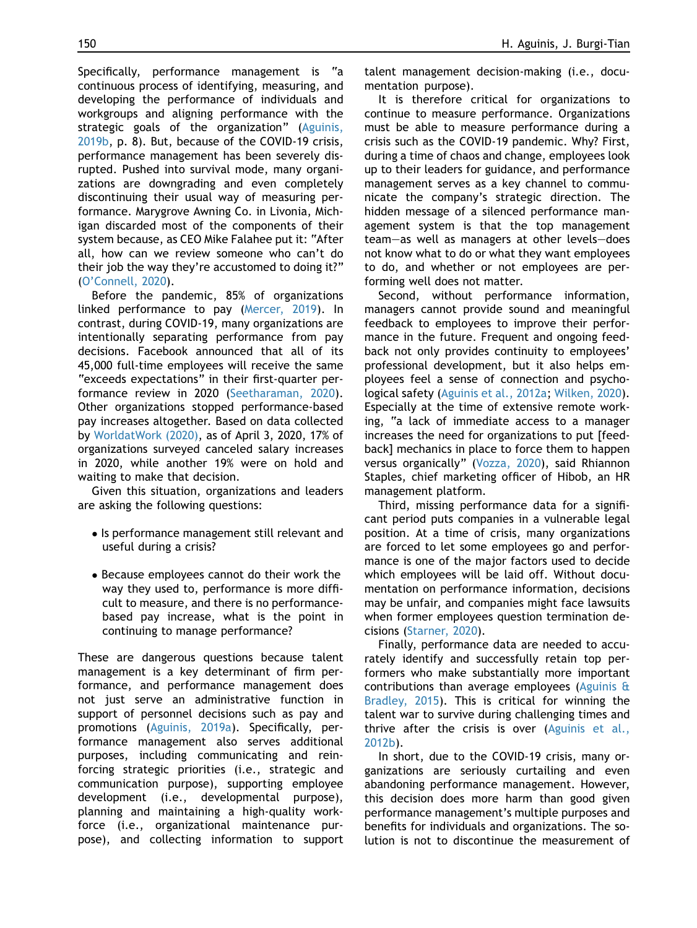Specifically, performance management is "a continuous process of identifying, measuring, and developing the performance of individuals and workgroups and aligning performance with the strategic goals of the organization" [\(Aguinis,](#page-9-0) [2019b](#page-9-0), p. 8). But, because of the COVID-19 crisis, performance management has been severely disrupted. Pushed into survival mode, many organizations are downgrading and even completely discontinuing their usual way of measuring performance. Marygrove Awning Co. in Livonia, Michigan discarded most of the components of their system because, as CEO Mike Falahee put it: "After all, how can we review someone who can't do their job the way they're accustomed to doing it?" [\(O'Connell, 2020](#page-10-1)).

Before the pandemic, 85% of organizations linked performance to pay [\(Mercer, 2019\)](#page-10-2). In contrast, during COVID-19, many organizations are intentionally separating performance from pay decisions. Facebook announced that all of its 45,000 full-time employees will receive the same "exceeds expectations" in their first-quarter performance review in 2020 ([Seetharaman, 2020](#page-10-3)). Other organizations stopped performance-based pay increases altogether. Based on data collected by [WorldatWork \(2020\),](#page-11-0) as of April 3, 2020, 17% of organizations surveyed canceled salary increases in 2020, while another 19% were on hold and waiting to make that decision.

Given this situation, organizations and leaders are asking the following questions:

- Is performance management still relevant and useful during a crisis?
- Because employees cannot do their work the way they used to, performance is more difficult to measure, and there is no performancebased pay increase, what is the point in continuing to manage performance?

These are dangerous questions because talent management is a key determinant of firm performance, and performance management does not just serve an administrative function in support of personnel decisions such as pay and promotions ([Aguinis, 2019a\)](#page-9-1). Specifically, performance management also serves additional purposes, including communicating and reinforcing strategic priorities (i.e., strategic and communication purpose), supporting employee development (i.e., developmental purpose), planning and maintaining a high-quality workforce (i.e., organizational maintenance purpose), and collecting information to support talent management decision-making (i.e., documentation purpose).

It is therefore critical for organizations to continue to measure performance. Organizations must be able to measure performance during a crisis such as the COVID-19 pandemic. Why? First, during a time of chaos and change, employees look up to their leaders for guidance, and performance management serves as a key channel to communicate the company's strategic direction. The hidden message of a silenced performance management system is that the top management team-as well as managers at other levels-does not know what to do or what they want employees to do, and whether or not employees are performing well does not matter.

Second, without performance information, managers cannot provide sound and meaningful feedback to employees to improve their performance in the future. Frequent and ongoing feedback not only provides continuity to employees' professional development, but it also helps employees feel a sense of connection and psychological safety [\(Aguinis et al., 2012a;](#page-10-4) [Wilken, 2020](#page-11-1)). Especially at the time of extensive remote working, "a lack of immediate access to a manager increases the need for organizations to put [feedback] mechanics in place to force them to happen versus organically" ([Vozza, 2020](#page-11-2)), said Rhiannon Staples, chief marketing officer of Hibob, an HR management platform.

Third, missing performance data for a significant period puts companies in a vulnerable legal position. At a time of crisis, many organizations are forced to let some employees go and performance is one of the major factors used to decide which employees will be laid off. Without documentation on performance information, decisions may be unfair, and companies might face lawsuits when former employees question termination decisions [\(Starner, 2020](#page-11-3)).

Finally, performance data are needed to accurately identify and successfully retain top performers who make substantially more important contributions than average employees [\(Aguinis &](#page-9-2) [Bradley, 2015](#page-9-2)). This is critical for winning the talent war to survive during challenging times and thrive after the crisis is over ([Aguinis et al.,](#page-10-5) [2012b](#page-10-5)).

In short, due to the COVID-19 crisis, many organizations are seriously curtailing and even abandoning performance management. However, this decision does more harm than good given performance management's multiple purposes and benefits for individuals and organizations. The solution is not to discontinue the measurement of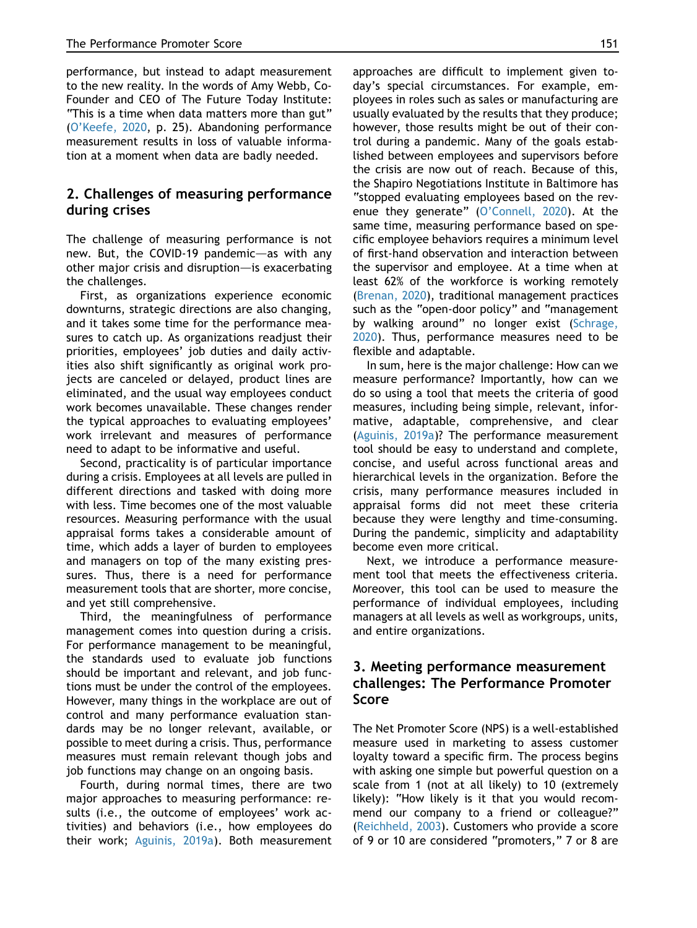performance, but instead to adapt measurement to the new reality. In the words of Amy Webb, Co-Founder and CEO of The Future Today Institute: "This is a time when data matters more than gut" [\(O'Keefe, 2020,](#page-10-6) p. 25). Abandoning performance measurement results in loss of valuable information at a moment when data are badly needed.

# 2. Challenges of measuring performance during crises

The challenge of measuring performance is not new. But, the COVID-19 pandemic—as with any other major crisis and disruption-is exacerbating the challenges.

First, as organizations experience economic downturns, strategic directions are also changing, and it takes some time for the performance measures to catch up. As organizations readjust their priorities, employees' job duties and daily activities also shift significantly as original work projects are canceled or delayed, product lines are eliminated, and the usual way employees conduct work becomes unavailable. These changes render the typical approaches to evaluating employees' work irrelevant and measures of performance need to adapt to be informative and useful.

Second, practicality is of particular importance during a crisis. Employees at all levels are pulled in different directions and tasked with doing more with less. Time becomes one of the most valuable resources. Measuring performance with the usual appraisal forms takes a considerable amount of time, which adds a layer of burden to employees and managers on top of the many existing pressures. Thus, there is a need for performance measurement tools that are shorter, more concise, and yet still comprehensive.

Third, the meaningfulness of performance management comes into question during a crisis. For performance management to be meaningful, the standards used to evaluate job functions should be important and relevant, and job functions must be under the control of the employees. However, many things in the workplace are out of control and many performance evaluation standards may be no longer relevant, available, or possible to meet during a crisis. Thus, performance measures must remain relevant though jobs and job functions may change on an ongoing basis.

Fourth, during normal times, there are two major approaches to measuring performance: results (i.e., the outcome of employees' work activities) and behaviors (i.e., how employees do their work; [Aguinis, 2019a\)](#page-9-1). Both measurement approaches are difficult to implement given today's special circumstances. For example, employees in roles such as sales or manufacturing are usually evaluated by the results that they produce; however, those results might be out of their control during a pandemic. Many of the goals established between employees and supervisors before the crisis are now out of reach. Because of this, the Shapiro Negotiations Institute in Baltimore has "stopped evaluating employees based on the revenue they generate" [\(O'Connell, 2020\)](#page-10-1). At the same time, measuring performance based on specific employee behaviors requires a minimum level of first-hand observation and interaction between the supervisor and employee. At a time when at least 62% of the workforce is working remotely [\(Brenan, 2020](#page-10-7)), traditional management practices such as the "open-door policy" and "management by walking around" no longer exist [\(Schrage,](#page-10-8) [2020](#page-10-8)). Thus, performance measures need to be flexible and adaptable.

In sum, here is the major challenge: How can we measure performance? Importantly, how can we do so using a tool that meets the criteria of good measures, including being simple, relevant, informative, adaptable, comprehensive, and clear [\(Aguinis, 2019a](#page-9-1))? The performance measurement tool should be easy to understand and complete, concise, and useful across functional areas and hierarchical levels in the organization. Before the crisis, many performance measures included in appraisal forms did not meet these criteria because they were lengthy and time-consuming. During the pandemic, simplicity and adaptability become even more critical.

Next, we introduce a performance measurement tool that meets the effectiveness criteria. Moreover, this tool can be used to measure the performance of individual employees, including managers at all levels as well as workgroups, units, and entire organizations.

# 3. Meeting performance measurement challenges: The Performance Promoter Score

The Net Promoter Score (NPS) is a well-established measure used in marketing to assess customer loyalty toward a specific firm. The process begins with asking one simple but powerful question on a scale from 1 (not at all likely) to 10 (extremely likely): "How likely is it that you would recommend our company to a friend or colleague?" [\(Reichheld, 2003](#page-10-9)). Customers who provide a score of 9 or 10 are considered "promoters," 7 or 8 are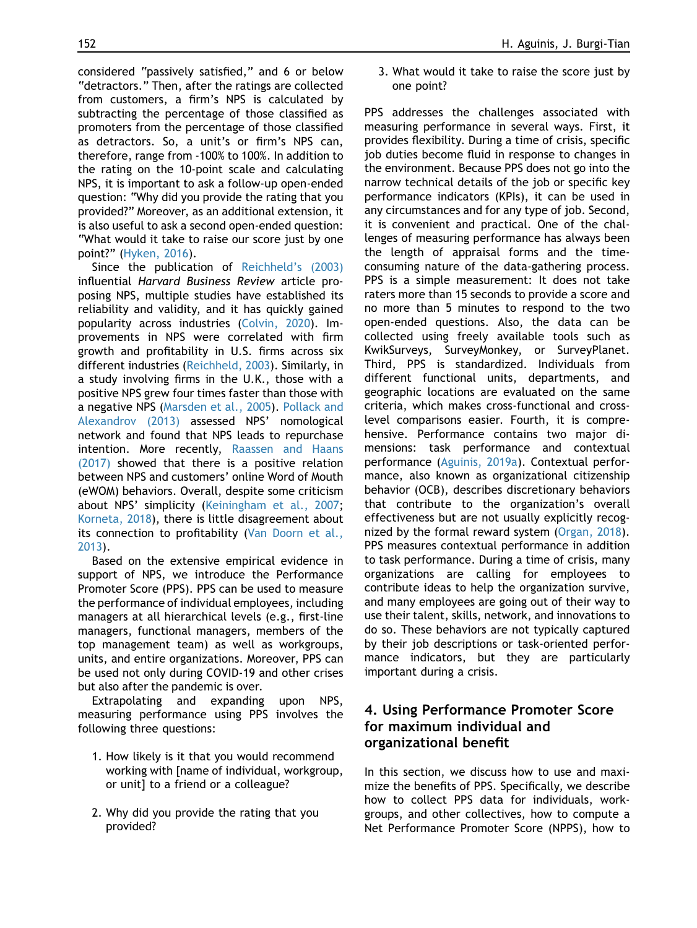considered "passively satisfied," and 6 or below "detractors." Then, after the ratings are collected from customers, a firm's NPS is calculated by subtracting the percentage of those classified as promoters from the percentage of those classified as detractors. So, a unit's or firm's NPS can, therefore, range from -100% to 100%. In addition to the rating on the 10-point scale and calculating NPS, it is important to ask a follow-up open-ended question: "Why did you provide the rating that you provided?" Moreover, as an additional extension, it is also useful to ask a second open-ended question: "What would it take to raise our score just by one point?" ([Hyken, 2016](#page-10-10)).

Since the publication of [Reichheld's \(2003\)](#page-10-9) influential Harvard Business Review article proposing NPS, multiple studies have established its reliability and validity, and it has quickly gained popularity across industries ([Colvin, 2020](#page-10-11)). Improvements in NPS were correlated with firm growth and profitability in U.S. firms across six different industries ([Reichheld, 2003\)](#page-10-9). Similarly, in a study involving firms in the U.K., those with a positive NPS grew four times faster than those with a negative NPS ([Marsden et al., 2005\)](#page-10-12). [Pollack and](#page-10-13) [Alexandrov \(2013\)](#page-10-13) assessed NPS' nomological network and found that NPS leads to repurchase intention. More recently, [Raassen and Haans](#page-10-14) [\(2017\)](#page-10-14) showed that there is a positive relation between NPS and customers' online Word of Mouth (eWOM) behaviors. Overall, despite some criticism about NPS' simplicity ([Keiningham et al., 2007;](#page-10-15) [Korneta, 2018\)](#page-10-16), there is little disagreement about its connection to profitability ([Van Doorn et al.,](#page-11-4) [2013](#page-11-4)).

Based on the extensive empirical evidence in support of NPS, we introduce the Performance Promoter Score (PPS). PPS can be used to measure the performance of individual employees, including managers at all hierarchical levels (e.g., first-line managers, functional managers, members of the top management team) as well as workgroups, units, and entire organizations. Moreover, PPS can be used not only during COVID-19 and other crises but also after the pandemic is over.

Extrapolating and expanding upon NPS, measuring performance using PPS involves the following three questions:

- 1. How likely is it that you would recommend working with [name of individual, workgroup, or unit] to a friend or a colleague?
- 2. Why did you provide the rating that you provided?

3. What would it take to raise the score just by one point?

PPS addresses the challenges associated with measuring performance in several ways. First, it provides flexibility. During a time of crisis, specific job duties become fluid in response to changes in the environment. Because PPS does not go into the narrow technical details of the job or specific key performance indicators (KPIs), it can be used in any circumstances and for any type of job. Second, it is convenient and practical. One of the challenges of measuring performance has always been the length of appraisal forms and the timeconsuming nature of the data-gathering process. PPS is a simple measurement: It does not take raters more than 15 seconds to provide a score and no more than 5 minutes to respond to the two open-ended questions. Also, the data can be collected using freely available tools such as KwikSurveys, SurveyMonkey, or SurveyPlanet. Third, PPS is standardized. Individuals from different functional units, departments, and geographic locations are evaluated on the same criteria, which makes cross-functional and crosslevel comparisons easier. Fourth, it is comprehensive. Performance contains two major dimensions: task performance and contextual performance ([Aguinis, 2019a](#page-9-1)). Contextual performance, also known as organizational citizenship behavior (OCB), describes discretionary behaviors that contribute to the organization's overall effectiveness but are not usually explicitly recognized by the formal reward system [\(Organ, 2018](#page-10-17)). PPS measures contextual performance in addition to task performance. During a time of crisis, many organizations are calling for employees to contribute ideas to help the organization survive, and many employees are going out of their way to use their talent, skills, network, and innovations to do so. These behaviors are not typically captured by their job descriptions or task-oriented performance indicators, but they are particularly important during a crisis.

# 4. Using Performance Promoter Score for maximum individual and organizational benefit

In this section, we discuss how to use and maximize the benefits of PPS. Specifically, we describe how to collect PPS data for individuals, workgroups, and other collectives, how to compute a Net Performance Promoter Score (NPPS), how to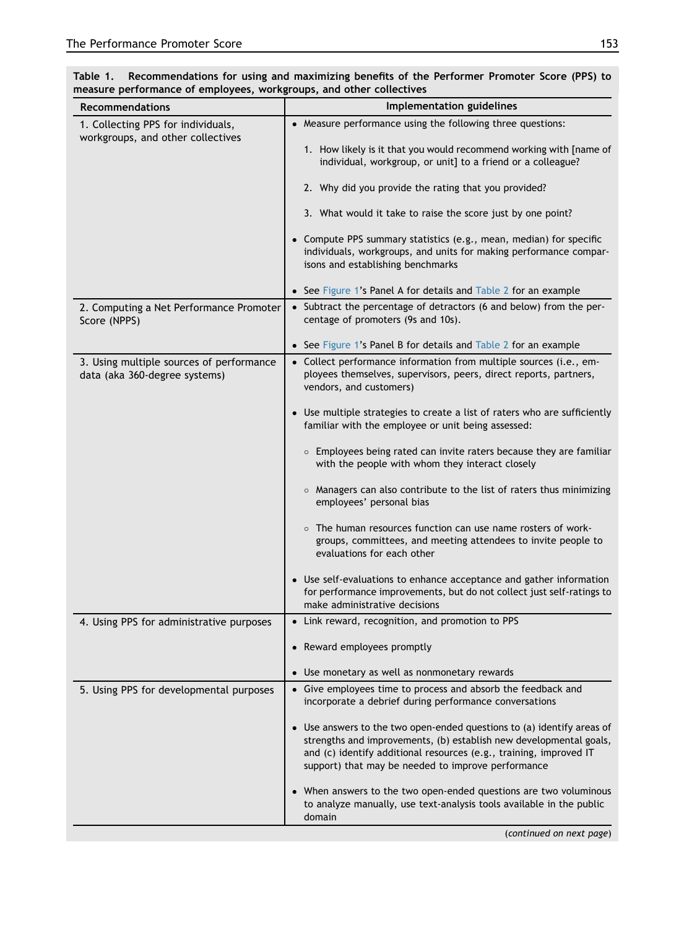#### <span id="page-4-0"></span>Table 1. Recommendations for using and maximizing benefits of the Performer Promoter Score (PPS) to measure performance of employees, workgroups, and other collectives

| <b>Recommendations</b>                                                    | Implementation guidelines                                                                                                                                                                                                                                                           |  |  |
|---------------------------------------------------------------------------|-------------------------------------------------------------------------------------------------------------------------------------------------------------------------------------------------------------------------------------------------------------------------------------|--|--|
| 1. Collecting PPS for individuals,<br>workgroups, and other collectives   | • Measure performance using the following three questions:                                                                                                                                                                                                                          |  |  |
|                                                                           | 1. How likely is it that you would recommend working with [name of<br>individual, workgroup, or unit] to a friend or a colleague?                                                                                                                                                   |  |  |
|                                                                           | 2. Why did you provide the rating that you provided?                                                                                                                                                                                                                                |  |  |
|                                                                           | 3. What would it take to raise the score just by one point?                                                                                                                                                                                                                         |  |  |
|                                                                           | Compute PPS summary statistics (e.g., mean, median) for specific<br>$\bullet$<br>individuals, workgroups, and units for making performance compar-<br>isons and establishing benchmarks                                                                                             |  |  |
|                                                                           | • See Figure 1's Panel A for details and Table 2 for an example                                                                                                                                                                                                                     |  |  |
| 2. Computing a Net Performance Promoter<br>Score (NPPS)                   | • Subtract the percentage of detractors (6 and below) from the per-<br>centage of promoters (9s and 10s).                                                                                                                                                                           |  |  |
|                                                                           | • See Figure 1's Panel B for details and Table 2 for an example                                                                                                                                                                                                                     |  |  |
| 3. Using multiple sources of performance<br>data (aka 360-degree systems) | • Collect performance information from multiple sources (i.e., em-<br>ployees themselves, supervisors, peers, direct reports, partners,<br>vendors, and customers)                                                                                                                  |  |  |
|                                                                           | Use multiple strategies to create a list of raters who are sufficiently<br>familiar with the employee or unit being assessed:                                                                                                                                                       |  |  |
|                                                                           | • Employees being rated can invite raters because they are familiar<br>with the people with whom they interact closely                                                                                                                                                              |  |  |
|                                                                           | ○ Managers can also contribute to the list of raters thus minimizing<br>employees' personal bias                                                                                                                                                                                    |  |  |
|                                                                           | o The human resources function can use name rosters of work-<br>groups, committees, and meeting attendees to invite people to<br>evaluations for each other                                                                                                                         |  |  |
|                                                                           | Use self-evaluations to enhance acceptance and gather information<br>$\bullet$<br>for performance improvements, but do not collect just self-ratings to<br>make administrative decisions                                                                                            |  |  |
| 4. Using PPS for administrative purposes                                  | • Link reward, recognition, and promotion to PPS                                                                                                                                                                                                                                    |  |  |
|                                                                           | • Reward employees promptly                                                                                                                                                                                                                                                         |  |  |
|                                                                           | • Use monetary as well as nonmonetary rewards                                                                                                                                                                                                                                       |  |  |
| 5. Using PPS for developmental purposes                                   | • Give employees time to process and absorb the feedback and<br>incorporate a debrief during performance conversations                                                                                                                                                              |  |  |
|                                                                           | Use answers to the two open-ended questions to (a) identify areas of<br>$\bullet$<br>strengths and improvements, (b) establish new developmental goals,<br>and (c) identify additional resources (e.g., training, improved IT<br>support) that may be needed to improve performance |  |  |
|                                                                           | • When answers to the two open-ended questions are two voluminous<br>to analyze manually, use text-analysis tools available in the public<br>domain                                                                                                                                 |  |  |
|                                                                           | (continued on next page)                                                                                                                                                                                                                                                            |  |  |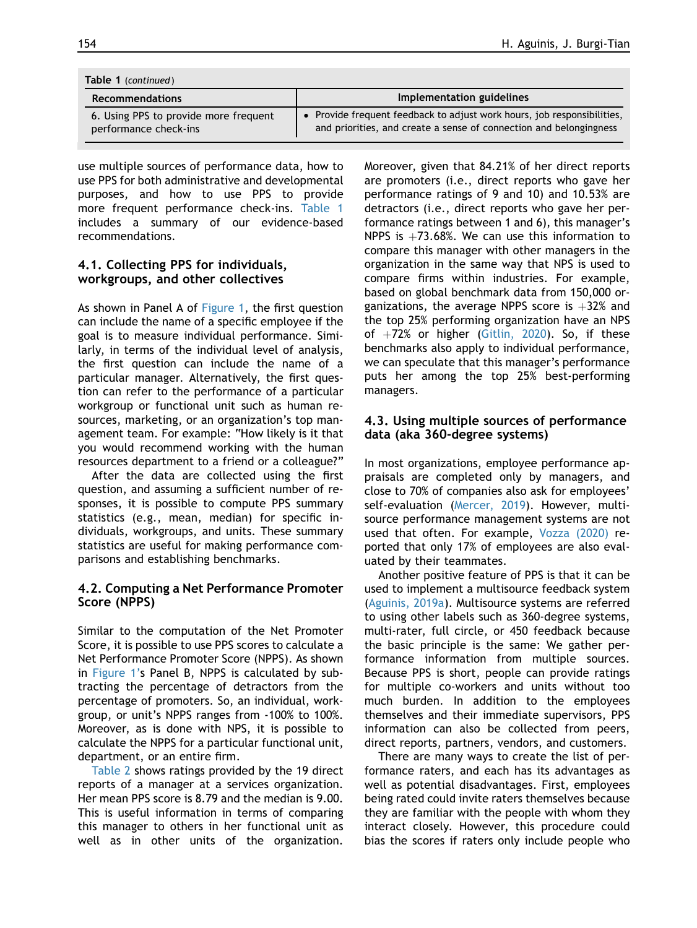| <b>Table 1</b> (continued)                                     |                                                                                                                                               |  |  |
|----------------------------------------------------------------|-----------------------------------------------------------------------------------------------------------------------------------------------|--|--|
| <b>Recommendations</b>                                         | Implementation guidelines                                                                                                                     |  |  |
| 6. Using PPS to provide more frequent<br>performance check-ins | • Provide frequent feedback to adjust work hours, job responsibilities,<br>and priorities, and create a sense of connection and belongingness |  |  |

use multiple sources of performance data, how to use PPS for both administrative and developmental purposes, and how to use PPS to provide more frequent performance check-ins. [Table 1](#page-4-0) includes a summary of our evidence-based recommendations.

### 4.1. Collecting PPS for individuals, workgroups, and other collectives

As shown in Panel A of [Figure 1](#page-6-0), the first question can include the name of a specific employee if the goal is to measure individual performance. Similarly, in terms of the individual level of analysis, the first question can include the name of a particular manager. Alternatively, the first question can refer to the performance of a particular workgroup or functional unit such as human resources, marketing, or an organization's top management team. For example: "How likely is it that you would recommend working with the human resources department to a friend or a colleague?"

After the data are collected using the first question, and assuming a sufficient number of responses, it is possible to compute PPS summary statistics (e.g., mean, median) for specific individuals, workgroups, and units. These summary statistics are useful for making performance comparisons and establishing benchmarks.

### 4.2. Computing a Net Performance Promoter Score (NPPS)

Similar to the computation of the Net Promoter Score, it is possible to use PPS scores to calculate a Net Performance Promoter Score (NPPS). As shown in [Figure 1's](#page-6-0) Panel B, NPPS is calculated by subtracting the percentage of detractors from the percentage of promoters. So, an individual, workgroup, or unit's NPPS ranges from -100% to 100%. Moreover, as is done with NPS, it is possible to calculate the NPPS for a particular functional unit, department, or an entire firm.

[Table 2](#page-7-0) shows ratings provided by the 19 direct reports of a manager at a services organization. Her mean PPS score is 8.79 and the median is 9.00. This is useful information in terms of comparing this manager to others in her functional unit as well as in other units of the organization.

Moreover, given that 84.21% of her direct reports are promoters (i.e., direct reports who gave her performance ratings of 9 and 10) and 10.53% are detractors (i.e., direct reports who gave her performance ratings between 1 and 6), this manager's NPPS is  $+73.68%$ . We can use this information to compare this manager with other managers in the organization in the same way that NPS is used to compare firms within industries. For example, based on global benchmark data from 150,000 organizations, the average NPPS score is  $+32%$  and the top 25% performing organization have an NPS of  $+72%$  or higher ([Gitlin, 2020](#page-10-18)). So, if these benchmarks also apply to individual performance, we can speculate that this manager's performance puts her among the top 25% best-performing managers.

# 4.3. Using multiple sources of performance data (aka 360-degree systems)

In most organizations, employee performance appraisals are completed only by managers, and close to 70% of companies also ask for employees' self-evaluation [\(Mercer, 2019](#page-10-2)). However, multisource performance management systems are not used that often. For example, [Vozza \(2020\)](#page-11-2) reported that only 17% of employees are also evaluated by their teammates.

Another positive feature of PPS is that it can be used to implement a multisource feedback system [\(Aguinis, 2019a\)](#page-9-1). Multisource systems are referred to using other labels such as 360-degree systems, multi-rater, full circle, or 450 feedback because the basic principle is the same: We gather performance information from multiple sources. Because PPS is short, people can provide ratings for multiple co-workers and units without too much burden. In addition to the employees themselves and their immediate supervisors, PPS information can also be collected from peers, direct reports, partners, vendors, and customers.

There are many ways to create the list of performance raters, and each has its advantages as well as potential disadvantages. First, employees being rated could invite raters themselves because they are familiar with the people with whom they interact closely. However, this procedure could bias the scores if raters only include people who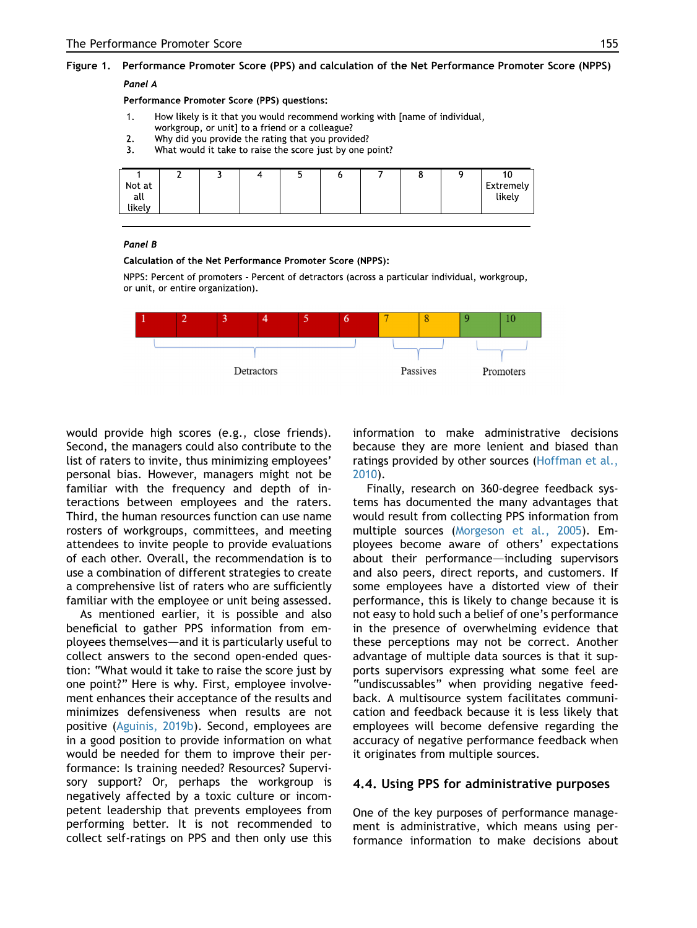# <span id="page-6-0"></span>Figure 1. Performance Promoter Score (PPS) and calculation of the Net Performance Promoter Score (NPPS)

#### Panel A

Performance Promoter Score (PPS) questions:

- How likely is it that you would recommend working with [name of individual,  $\mathbf{1}$ .
- workgroup, or unit] to a friend or a colleague?  $2.$ Why did you provide the rating that you provided?
- What would it take to raise the score just by one point?  $\mathbf{R}$
- 

|        |  |  | ີ |  | 10        |
|--------|--|--|---|--|-----------|
| Not at |  |  |   |  | Extremely |
| all    |  |  |   |  | likely    |
| likely |  |  |   |  |           |

#### Panel B

#### Calculation of the Net Performance Promoter Score (NPPS):

NPPS: Percent of promoters - Percent of detractors (across a particular individual, workgroup, or unit, or entire organization).



would provide high scores (e.g., close friends). Second, the managers could also contribute to the list of raters to invite, thus minimizing employees' personal bias. However, managers might not be familiar with the frequency and depth of interactions between employees and the raters. Third, the human resources function can use name rosters of workgroups, committees, and meeting attendees to invite people to provide evaluations of each other. Overall, the recommendation is to use a combination of different strategies to create a comprehensive list of raters who are sufficiently familiar with the employee or unit being assessed.

As mentioned earlier, it is possible and also beneficial to gather PPS information from employees themselves—and it is particularly useful to collect answers to the second open-ended question: "What would it take to raise the score just by one point?" Here is why. First, employee involvement enhances their acceptance of the results and minimizes defensiveness when results are not positive ([Aguinis, 2019b\)](#page-9-0). Second, employees are in a good position to provide information on what would be needed for them to improve their performance: Is training needed? Resources? Supervisory support? Or, perhaps the workgroup is negatively affected by a toxic culture or incompetent leadership that prevents employees from performing better. It is not recommended to collect self-ratings on PPS and then only use this information to make administrative decisions because they are more lenient and biased than ratings provided by other sources ([Hoffman et al.,](#page-10-19) [2010](#page-10-19)).

Finally, research on 360-degree feedback systems has documented the many advantages that would result from collecting PPS information from multiple sources ([Morgeson et al., 2005](#page-10-20)). Employees become aware of others' expectations about their performance—including supervisors and also peers, direct reports, and customers. If some employees have a distorted view of their performance, this is likely to change because it is not easy to hold such a belief of one's performance in the presence of overwhelming evidence that these perceptions may not be correct. Another advantage of multiple data sources is that it supports supervisors expressing what some feel are "undiscussables" when providing negative feedback. A multisource system facilitates communication and feedback because it is less likely that employees will become defensive regarding the accuracy of negative performance feedback when it originates from multiple sources.

#### 4.4. Using PPS for administrative purposes

One of the key purposes of performance management is administrative, which means using performance information to make decisions about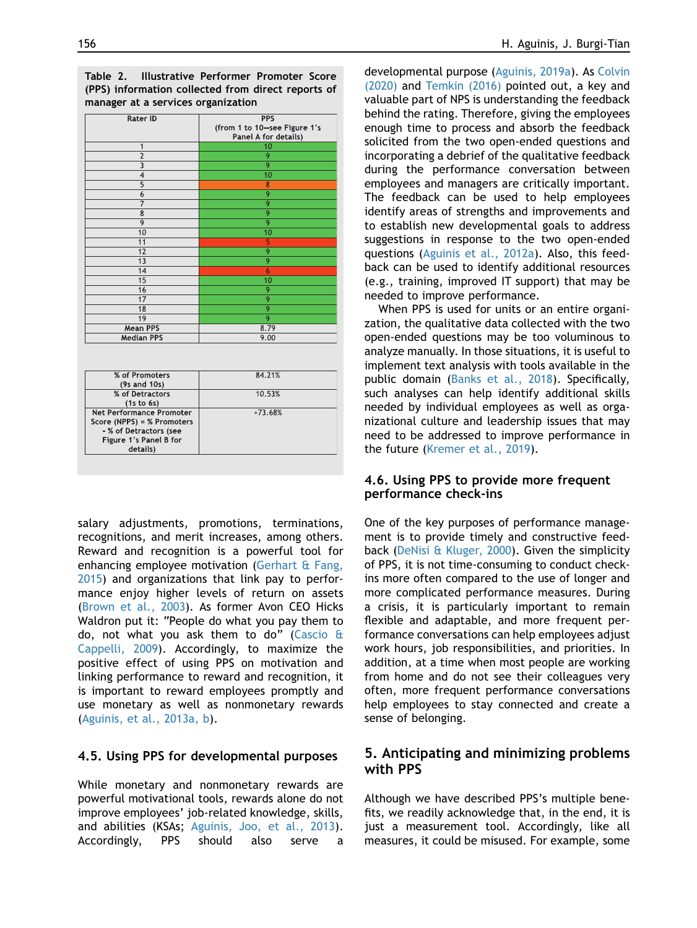<span id="page-7-0"></span>Table 2. Illustrative Performer Promoter Score (PPS) information collected from direct reports of manager at a services organization

| <b>Rater ID</b>                 | <b>PPS</b>                   |  |  |  |  |
|---------------------------------|------------------------------|--|--|--|--|
|                                 | (from 1 to 10-see Figure 1's |  |  |  |  |
|                                 | Panel A for details)         |  |  |  |  |
| $\mathbf{1}$                    | 10                           |  |  |  |  |
| $\overline{2}$                  | $\overline{9}$               |  |  |  |  |
| $\overline{3}$                  | $\overline{9}$               |  |  |  |  |
| $\overline{4}$                  | 10                           |  |  |  |  |
| 5                               | 8                            |  |  |  |  |
| 6                               | $\overline{9}$               |  |  |  |  |
| $\overline{7}$                  | $\overline{9}$               |  |  |  |  |
| 8                               | $\overline{9}$               |  |  |  |  |
| 9                               | $\overline{9}$               |  |  |  |  |
| 10                              | 10                           |  |  |  |  |
| 11                              | 5                            |  |  |  |  |
| 12                              | $\overline{9}$               |  |  |  |  |
| 13                              | $\overline{9}$               |  |  |  |  |
| 14                              | 6                            |  |  |  |  |
| 15                              | 10                           |  |  |  |  |
| 16                              | 9                            |  |  |  |  |
| 17                              | $\overline{9}$               |  |  |  |  |
| 18                              | $\overline{9}$               |  |  |  |  |
| 19                              | $\overline{9}$               |  |  |  |  |
| <b>Mean PPS</b>                 | 8.79                         |  |  |  |  |
| <b>Median PPS</b>               | 9,00                         |  |  |  |  |
|                                 |                              |  |  |  |  |
| % of Promoters                  | 84.21%                       |  |  |  |  |
| (9s and 10s)                    |                              |  |  |  |  |
| % of Detractors                 | 10.53%                       |  |  |  |  |
| (1s to 6s)                      |                              |  |  |  |  |
| <b>Net Performance Promoter</b> | $+73.68%$                    |  |  |  |  |
| Score (NPPS) = % Promoters      |                              |  |  |  |  |
| - % of Detractors (see          |                              |  |  |  |  |
| Figure 1's Panel B for          |                              |  |  |  |  |
| details)                        |                              |  |  |  |  |

salary adjustments, promotions, terminations, recognitions, and merit increases, among others. Reward and recognition is a powerful tool for enhancing employee motivation [\(Gerhart & Fang,](#page-10-21) [2015](#page-10-21)) and organizations that link pay to performance enjoy higher levels of return on assets [\(Brown et al., 2003](#page-10-22)). As former Avon CEO Hicks Waldron put it: "People do what you pay them to do, not what you ask them to do" ([Cascio &](#page-10-23) [Cappelli, 2009](#page-10-23)). Accordingly, to maximize the positive effect of using PPS on motivation and linking performance to reward and recognition, it is important to reward employees promptly and use monetary as well as nonmonetary rewards [\(Aguinis, et al., 2013a,](#page-10-24) [b](#page-10-25)).

### 4.5. Using PPS for developmental purposes

While monetary and nonmonetary rewards are powerful motivational tools, rewards alone do not improve employees' job-related knowledge, skills, and abilities (KSAs; [Aguinis, Joo, et al., 2013](#page-10-25)). Accordingly, PPS should also serve a

developmental purpose ([Aguinis, 2019a\)](#page-9-1). As [Colvin](#page-10-11) [\(2020\)](#page-10-11) and [Temkin \(2016\)](#page-11-5) pointed out, a key and valuable part of NPS is understanding the feedback behind the rating. Therefore, giving the employees enough time to process and absorb the feedback solicited from the two open-ended questions and incorporating a debrief of the qualitative feedback during the performance conversation between employees and managers are critically important. The feedback can be used to help employees identify areas of strengths and improvements and to establish new developmental goals to address suggestions in response to the two open-ended questions ([Aguinis et al., 2012a\)](#page-10-4). Also, this feedback can be used to identify additional resources (e.g., training, improved IT support) that may be needed to improve performance.

When PPS is used for units or an entire organization, the qualitative data collected with the two open-ended questions may be too voluminous to analyze manually. In those situations, it is useful to implement text analysis with tools available in the public domain ([Banks et al., 2018](#page-10-26)). Specifically, such analyses can help identify additional skills needed by individual employees as well as organizational culture and leadership issues that may need to be addressed to improve performance in the future ([Kremer et al., 2019](#page-10-27)).

## 4.6. Using PPS to provide more frequent performance check-ins

One of the key purposes of performance management is to provide timely and constructive feedback ([DeNisi & Kluger, 2000](#page-10-28)). Given the simplicity of PPS, it is not time-consuming to conduct checkins more often compared to the use of longer and more complicated performance measures. During a crisis, it is particularly important to remain flexible and adaptable, and more frequent performance conversations can help employees adjust work hours, job responsibilities, and priorities. In addition, at a time when most people are working from home and do not see their colleagues very often, more frequent performance conversations help employees to stay connected and create a sense of belonging.

# 5. Anticipating and minimizing problems with PPS

Although we have described PPS's multiple benefits, we readily acknowledge that, in the end, it is just a measurement tool. Accordingly, like all measures, it could be misused. For example, some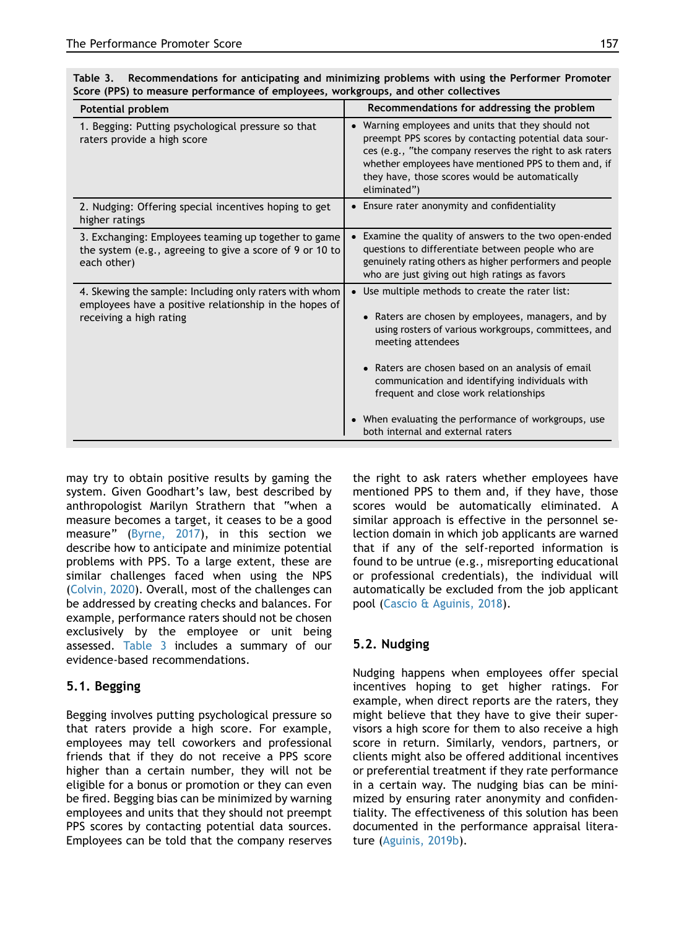<span id="page-8-0"></span>

| Table 3.    Recommendations for anticipating and minimizing problems with using the Performer Promoter |  |  |  |  |
|--------------------------------------------------------------------------------------------------------|--|--|--|--|
| Score (PPS) to measure performance of employees, workgroups, and other collectives                     |  |  |  |  |

| <b>Potential problem</b>                                                                                                                    | Recommendations for addressing the problem                                                                                                                                                                                                                                                                                                                                                                                       |
|---------------------------------------------------------------------------------------------------------------------------------------------|----------------------------------------------------------------------------------------------------------------------------------------------------------------------------------------------------------------------------------------------------------------------------------------------------------------------------------------------------------------------------------------------------------------------------------|
| 1. Begging: Putting psychological pressure so that<br>raters provide a high score                                                           | • Warning employees and units that they should not<br>preempt PPS scores by contacting potential data sour-<br>ces (e.g., "the company reserves the right to ask raters<br>whether employees have mentioned PPS to them and, if<br>they have, those scores would be automatically<br>eliminated")                                                                                                                                |
| 2. Nudging: Offering special incentives hoping to get<br>higher ratings                                                                     | • Ensure rater anonymity and confidentiality                                                                                                                                                                                                                                                                                                                                                                                     |
| 3. Exchanging: Employees teaming up together to game<br>the system (e.g., agreeing to give a score of 9 or 10 to<br>each other)             | Examine the quality of answers to the two open-ended<br>questions to differentiate between people who are<br>genuinely rating others as higher performers and people<br>who are just giving out high ratings as favors                                                                                                                                                                                                           |
| 4. Skewing the sample: Including only raters with whom<br>employees have a positive relationship in the hopes of<br>receiving a high rating | • Use multiple methods to create the rater list:<br>• Raters are chosen by employees, managers, and by<br>using rosters of various workgroups, committees, and<br>meeting attendees<br>• Raters are chosen based on an analysis of email<br>communication and identifying individuals with<br>frequent and close work relationships<br>• When evaluating the performance of workgroups, use<br>both internal and external raters |

may try to obtain positive results by gaming the system. Given Goodhart's law, best described by anthropologist Marilyn Strathern that "when a measure becomes a target, it ceases to be a good measure" [\(Byrne, 2017](#page-10-29)), in this section we describe how to anticipate and minimize potential problems with PPS. To a large extent, these are similar challenges faced when using the NPS [\(Colvin, 2020](#page-10-11)). Overall, most of the challenges can be addressed by creating checks and balances. For example, performance raters should not be chosen exclusively by the employee or unit being assessed. [Table 3](#page-8-0) includes a summary of our evidence-based recommendations.

### 5.1. Begging

Begging involves putting psychological pressure so that raters provide a high score. For example, employees may tell coworkers and professional friends that if they do not receive a PPS score higher than a certain number, they will not be eligible for a bonus or promotion or they can even be fired. Begging bias can be minimized by warning employees and units that they should not preempt PPS scores by contacting potential data sources. Employees can be told that the company reserves

the right to ask raters whether employees have mentioned PPS to them and, if they have, those scores would be automatically eliminated. A similar approach is effective in the personnel selection domain in which job applicants are warned that if any of the self-reported information is found to be untrue (e.g., misreporting educational or professional credentials), the individual will automatically be excluded from the job applicant pool ([Cascio & Aguinis, 2018\)](#page-10-30).

### 5.2. Nudging

Nudging happens when employees offer special incentives hoping to get higher ratings. For example, when direct reports are the raters, they might believe that they have to give their supervisors a high score for them to also receive a high score in return. Similarly, vendors, partners, or clients might also be offered additional incentives or preferential treatment if they rate performance in a certain way. The nudging bias can be minimized by ensuring rater anonymity and confidentiality. The effectiveness of this solution has been documented in the performance appraisal literature [\(Aguinis, 2019b](#page-9-0)).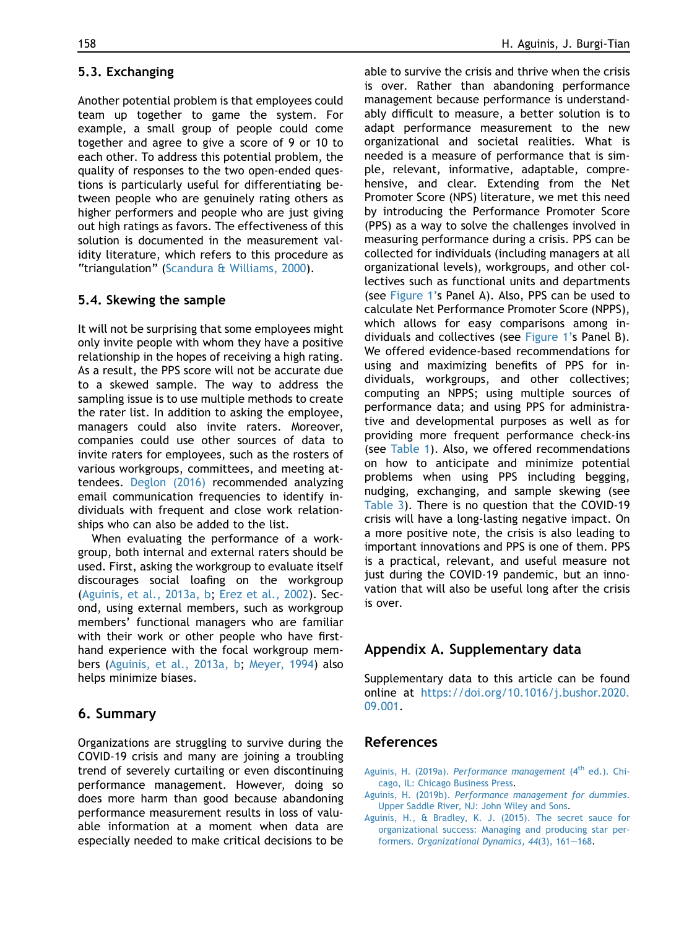### 5.3. Exchanging

Another potential problem is that employees could team up together to game the system. For example, a small group of people could come together and agree to give a score of 9 or 10 to each other. To address this potential problem, the quality of responses to the two open-ended questions is particularly useful for differentiating between people who are genuinely rating others as higher performers and people who are just giving out high ratings as favors. The effectiveness of this solution is documented in the measurement validity literature, which refers to this procedure as "triangulation" ([Scandura & Williams, 2000\)](#page-10-31).

### 5.4. Skewing the sample

It will not be surprising that some employees might only invite people with whom they have a positive relationship in the hopes of receiving a high rating. As a result, the PPS score will not be accurate due to a skewed sample. The way to address the sampling issue is to use multiple methods to create the rater list. In addition to asking the employee, managers could also invite raters. Moreover, companies could use other sources of data to invite raters for employees, such as the rosters of various workgroups, committees, and meeting attendees. [Deglon \(2016\)](#page-10-32) recommended analyzing email communication frequencies to identify individuals with frequent and close work relationships who can also be added to the list.

When evaluating the performance of a workgroup, both internal and external raters should be used. First, asking the workgroup to evaluate itself discourages social loafing on the workgroup [\(Aguinis, et al., 2013a,](#page-10-24) [b](#page-10-25); [Erez et al., 2002\)](#page-10-33). Second, using external members, such as workgroup members' functional managers who are familiar with their work or other people who have firsthand experience with the focal workgroup members [\(Aguinis, et al., 2013a,](#page-10-24) [b;](#page-10-25) [Meyer, 1994](#page-10-34)) also helps minimize biases.

# 6. Summary

Organizations are struggling to survive during the COVID-19 crisis and many are joining a troubling trend of severely curtailing or even discontinuing performance management. However, doing so does more harm than good because abandoning performance measurement results in loss of valuable information at a moment when data are especially needed to make critical decisions to be

able to survive the crisis and thrive when the crisis is over. Rather than abandoning performance management because performance is understandably difficult to measure, a better solution is to adapt performance measurement to the new organizational and societal realities. What is needed is a measure of performance that is simple, relevant, informative, adaptable, comprehensive, and clear. Extending from the Net Promoter Score (NPS) literature, we met this need by introducing the Performance Promoter Score (PPS) as a way to solve the challenges involved in measuring performance during a crisis. PPS can be collected for individuals (including managers at all organizational levels), workgroups, and other collectives such as functional units and departments (see [Figure 1's](#page-6-0) Panel A). Also, PPS can be used to calculate Net Performance Promoter Score (NPPS), which allows for easy comparisons among individuals and collectives (see [Figure 1's](#page-6-0) Panel B). We offered evidence-based recommendations for using and maximizing benefits of PPS for individuals, workgroups, and other collectives; computing an NPPS; using multiple sources of performance data; and using PPS for administrative and developmental purposes as well as for providing more frequent performance check-ins (see [Table 1\)](#page-4-0). Also, we offered recommendations on how to anticipate and minimize potential problems when using PPS including begging, nudging, exchanging, and sample skewing (see [Table 3](#page-8-0)). There is no question that the COVID-19 crisis will have a long-lasting negative impact. On a more positive note, the crisis is also leading to important innovations and PPS is one of them. PPS is a practical, relevant, and useful measure not just during the COVID-19 pandemic, but an innovation that will also be useful long after the crisis is over.

# Appendix A. Supplementary data

Supplementary data to this article can be found online at https://doi.org/10.1016/j.bushor.2020. 09.001.

### <span id="page-9-1"></span>References

- <span id="page-9-0"></span>Aguinis, H. (2019a). [Performance](http://refhub.elsevier.com/S0007-6813(20)30116-6/sref1) [management](http://refhub.elsevier.com/S0007-6813(20)30116-6/sref1) (4<sup>th</sup> [ed.\). Chi](http://refhub.elsevier.com/S0007-6813(20)30116-6/sref1)[cago, IL: Chicago Business Press](http://refhub.elsevier.com/S0007-6813(20)30116-6/sref1).
- <span id="page-9-2"></span>Aguinis, H. (2019b). [Performance management for dummies](http://refhub.elsevier.com/S0007-6813(20)30116-6/sref2). [Upper Saddle River, NJ: John Wiley and Sons](http://refhub.elsevier.com/S0007-6813(20)30116-6/sref2).
- [Aguinis, H., & Bradley, K. J. \(2015\). The secret sauce for](http://refhub.elsevier.com/S0007-6813(20)30116-6/sref3) [organizational success: Managing and producing star per](http://refhub.elsevier.com/S0007-6813(20)30116-6/sref3)formers. Organizational Dynamics,  $44(3)$ ,  $161-168$ .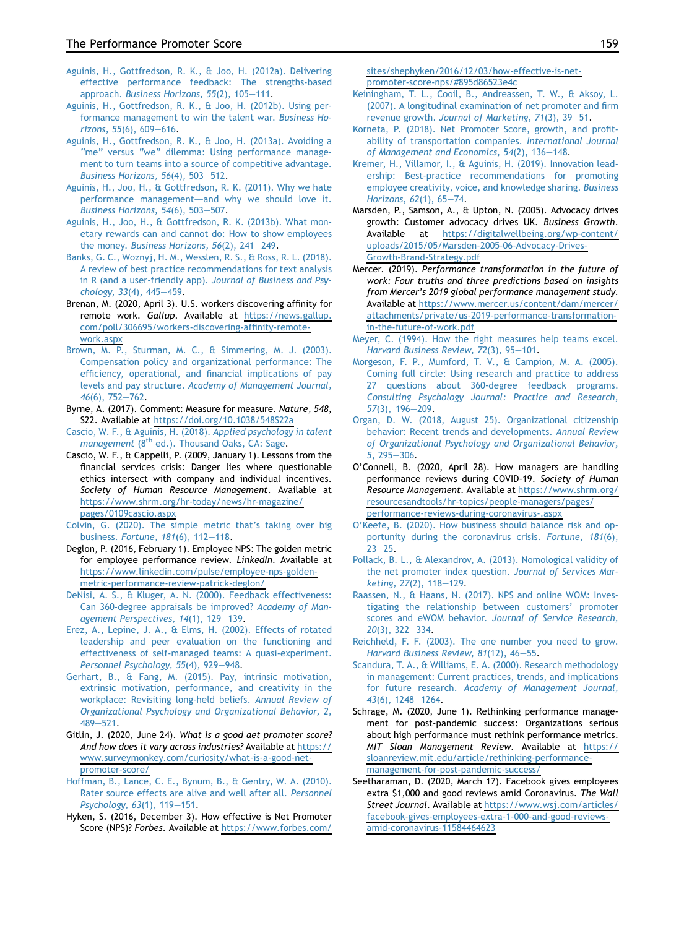- <span id="page-10-4"></span>[Aguinis, H., Gottfredson, R. K., & Joo, H. \(2012a\). Delivering](http://refhub.elsevier.com/S0007-6813(20)30116-6/sref4) [effective performance feedback: The strengths-based](http://refhub.elsevier.com/S0007-6813(20)30116-6/sref4) approach. [Business Horizons, 55](http://refhub.elsevier.com/S0007-6813(20)30116-6/sref4)(2), 105-[111](http://refhub.elsevier.com/S0007-6813(20)30116-6/sref4).
- <span id="page-10-5"></span>[Aguinis, H., Gottfredson, R. K., & Joo, H. \(2012b\). Using per](http://refhub.elsevier.com/S0007-6813(20)30116-6/sref5)[formance management to win the talent war.](http://refhub.elsevier.com/S0007-6813(20)30116-6/sref5) Business Ho $rizons, 55(6), 609-616.$  $rizons, 55(6), 609-616.$  $rizons, 55(6), 609-616.$  $rizons, 55(6), 609-616.$
- <span id="page-10-24"></span>[Aguinis, H., Gottfredson, R. K., & Joo, H. \(2013a\). Avoiding a](http://refhub.elsevier.com/S0007-6813(20)30116-6/sref6) ["me" versus "we" dilemma: Using performance manage](http://refhub.elsevier.com/S0007-6813(20)30116-6/sref6)[ment to turn teams into a source of competitive advantage.](http://refhub.elsevier.com/S0007-6813(20)30116-6/sref6) Business Horizons,  $56(4)$ ,  $503-512$  $503-512$ .
- <span id="page-10-0"></span>[Aguinis, H., Joo, H., & Gottfredson, R. K. \(2011\). Why we hate](http://refhub.elsevier.com/S0007-6813(20)30116-6/sref7) [performance management](http://refhub.elsevier.com/S0007-6813(20)30116-6/sref7)-[and why we should love it.](http://refhub.elsevier.com/S0007-6813(20)30116-6/sref7) Business Horizons,  $54(6)$ ,  $503-507$  $503-507$ .
- <span id="page-10-25"></span>[Aguinis, H., Joo, H., & Gottfredson, R. K. \(2013b\). What mon](http://refhub.elsevier.com/S0007-6813(20)30116-6/sref8)[etary rewards can and cannot do: How to show employees](http://refhub.elsevier.com/S0007-6813(20)30116-6/sref8) the money. Business Horizons,  $56(2)$ ,  $241-249$ .
- <span id="page-10-26"></span>[Banks, G. C., Woznyj, H. M., Wesslen, R. S., & Ross, R. L. \(2018\).](http://refhub.elsevier.com/S0007-6813(20)30116-6/sref9) [A review of best practice recommendations for text analysis](http://refhub.elsevier.com/S0007-6813(20)30116-6/sref9) [in R \(and a user-friendly app\).](http://refhub.elsevier.com/S0007-6813(20)30116-6/sref9) Journal of Business and Psychology,  $33(4)$ ,  $445-459$ .
- <span id="page-10-7"></span>Brenan, M. (2020, April 3). U.S. workers discovering affinity for remote work. Gallup. Available at [https://news.gallup.](https://news.gallup.com/poll/306695/workers-discovering-affinity-remote-work.aspx) [com/poll/306695/workers-discovering-affinity-remote](https://news.gallup.com/poll/306695/workers-discovering-affinity-remote-work.aspx)[work.aspx](https://news.gallup.com/poll/306695/workers-discovering-affinity-remote-work.aspx)
- <span id="page-10-22"></span>[Brown, M. P., Sturman, M. C., & Simmering, M. J. \(2003\).](http://refhub.elsevier.com/S0007-6813(20)30116-6/sref11) [Compensation policy and organizational performance: The](http://refhub.elsevier.com/S0007-6813(20)30116-6/sref11) [efficiency, operational, and financial implications of pay](http://refhub.elsevier.com/S0007-6813(20)30116-6/sref11) levels and pay structure. [Academy of Management Journal,](http://refhub.elsevier.com/S0007-6813(20)30116-6/sref11) 46[\(6\), 752](http://refhub.elsevier.com/S0007-6813(20)30116-6/sref11)-[762](http://refhub.elsevier.com/S0007-6813(20)30116-6/sref11).
- <span id="page-10-29"></span>Byrne, A. (2017). Comment: Measure for measure. Nature, 548, S22. Available at [https://doi.org/10.1038/548S22a](http://https://doi.org/10.1038/548S22a)
- <span id="page-10-30"></span>[Cascio, W. F., & Aguinis, H. \(2018\).](http://refhub.elsevier.com/S0007-6813(20)30116-6/sref13) Applied psychology in talent [management](http://refhub.elsevier.com/S0007-6813(20)30116-6/sref13) (8<sup>th</sup> [ed.\). Thousand Oaks, CA: Sage.](http://refhub.elsevier.com/S0007-6813(20)30116-6/sref13)
- <span id="page-10-23"></span>Cascio, W. F., & Cappelli, P. (2009, January 1). Lessons from the financial services crisis: Danger lies where questionable ethics intersect with company and individual incentives. Society of Human Resource Management. Available at [https://www.shrm.org/hr-today/news/hr-magazine/](https://www.shrm.org/hr-today/news/hr-magazine/pages/0109cascio.aspx) [pages/0109cascio.aspx](https://www.shrm.org/hr-today/news/hr-magazine/pages/0109cascio.aspx)
- <span id="page-10-11"></span>[Colvin, G. \(2020\). The simple metric that's taking over big](http://refhub.elsevier.com/S0007-6813(20)30116-6/sref15) business. [Fortune, 181](http://refhub.elsevier.com/S0007-6813(20)30116-6/sref15)(6), 112-[118](http://refhub.elsevier.com/S0007-6813(20)30116-6/sref15).
- <span id="page-10-32"></span>Deglon, P. (2016, February 1). Employee NPS: The golden metric for employee performance review. LinkedIn. Available at [https://www.linkedin.com/pulse/employee-nps-golden](https://www.linkedin.com/pulse/employee-nps-golden-metric-performance-review-patrick-deglon/)[metric-performance-review-patrick-deglon/](https://www.linkedin.com/pulse/employee-nps-golden-metric-performance-review-patrick-deglon/)
- <span id="page-10-28"></span>[DeNisi, A. S., & Kluger, A. N. \(2000\). Feedback effectiveness:](http://refhub.elsevier.com/S0007-6813(20)30116-6/sref17) [Can 360-degree appraisals be improved?](http://refhub.elsevier.com/S0007-6813(20)30116-6/sref17) Academy of Man[agement Perspectives, 14](http://refhub.elsevier.com/S0007-6813(20)30116-6/sref17)(1), 129-[139](http://refhub.elsevier.com/S0007-6813(20)30116-6/sref17).
- <span id="page-10-33"></span>[Erez, A., Lepine, J. A., & Elms, H. \(2002\). Effects of rotated](http://refhub.elsevier.com/S0007-6813(20)30116-6/sref18) [leadership and peer evaluation on the functioning and](http://refhub.elsevier.com/S0007-6813(20)30116-6/sref18) [effectiveness of self-managed teams: A quasi-experiment.](http://refhub.elsevier.com/S0007-6813(20)30116-6/sref18) [Personnel Psychology, 55](http://refhub.elsevier.com/S0007-6813(20)30116-6/sref18)(4), 929-[948.](http://refhub.elsevier.com/S0007-6813(20)30116-6/sref18)
- <span id="page-10-21"></span>[Gerhart, B., & Fang, M. \(2015\). Pay, intrinsic motivation,](http://refhub.elsevier.com/S0007-6813(20)30116-6/sref19) [extrinsic motivation, performance, and creativity in the](http://refhub.elsevier.com/S0007-6813(20)30116-6/sref19) [workplace: Revisiting long-held beliefs.](http://refhub.elsevier.com/S0007-6813(20)30116-6/sref19) Annual Review of [Organizational Psychology and Organizational Behavior, 2](http://refhub.elsevier.com/S0007-6813(20)30116-6/sref19), [489](http://refhub.elsevier.com/S0007-6813(20)30116-6/sref19)-[521](http://refhub.elsevier.com/S0007-6813(20)30116-6/sref19).
- <span id="page-10-18"></span>Gitlin, J. (2020, June 24). What is a good aet promoter score? And how does it vary across industries? Available at [https://](https://www.surveymonkey.com/curiosity/what-is-a-good-net-promoter-score/) [www.surveymonkey.com/curiosity/what-is-a-good-net](https://www.surveymonkey.com/curiosity/what-is-a-good-net-promoter-score/)[promoter-score/](https://www.surveymonkey.com/curiosity/what-is-a-good-net-promoter-score/)
- <span id="page-10-19"></span>[Hoffman, B., Lance, C. E., Bynum, B., & Gentry, W. A. \(2010\).](http://refhub.elsevier.com/S0007-6813(20)30116-6/sref21) [Rater source effects are alive and well after all.](http://refhub.elsevier.com/S0007-6813(20)30116-6/sref21) Personnel [Psychology, 63](http://refhub.elsevier.com/S0007-6813(20)30116-6/sref21)(1), 119-[151](http://refhub.elsevier.com/S0007-6813(20)30116-6/sref21).
- <span id="page-10-10"></span>Hyken, S. (2016, December 3). How effective is Net Promoter Score (NPS)? Forbes. Available at [https://www.forbes.com/](https://www.forbes.com/sites/shephyken/2016/12/03/how-effective-is-net-promoter-score-nps/#895d86523e4c)

[sites/shephyken/2016/12/03/how-effective-is-net](https://www.forbes.com/sites/shephyken/2016/12/03/how-effective-is-net-promoter-score-nps/#895d86523e4c)[promoter-score-nps/#895d86523e4c](https://www.forbes.com/sites/shephyken/2016/12/03/how-effective-is-net-promoter-score-nps/#895d86523e4c)

- <span id="page-10-15"></span>[Keiningham, T. L., Cooil, B., Andreassen, T. W., & Aksoy, L.](http://refhub.elsevier.com/S0007-6813(20)30116-6/sref23) [\(2007\). A longitudinal examination of net promoter and firm](http://refhub.elsevier.com/S0007-6813(20)30116-6/sref23) revenue growth. Journal of Marketing,  $71(3)$ ,  $39-51$  $39-51$ .
- <span id="page-10-16"></span>[Korneta, P. \(2018\). Net Promoter Score, growth, and profit](http://refhub.elsevier.com/S0007-6813(20)30116-6/sref24)[ability of transportation companies.](http://refhub.elsevier.com/S0007-6813(20)30116-6/sref24) International Journal [of Management and Economics, 54](http://refhub.elsevier.com/S0007-6813(20)30116-6/sref24)(2), 136-[148](http://refhub.elsevier.com/S0007-6813(20)30116-6/sref24).
- <span id="page-10-27"></span>[Kremer, H., Villamor, I., & Aguinis, H. \(2019\). Innovation lead](http://refhub.elsevier.com/S0007-6813(20)30116-6/sref25)[ership: Best-practice recommendations for promoting](http://refhub.elsevier.com/S0007-6813(20)30116-6/sref25) [employee creativity, voice, and knowledge sharing.](http://refhub.elsevier.com/S0007-6813(20)30116-6/sref25) Business Horizons,  $62(1)$ ,  $65-74$  $65-74$ .
- <span id="page-10-12"></span>Marsden, P., Samson, A., & Upton, N. (2005). Advocacy drives growth: Customer advocacy drives UK. Business Growth. Available at [https://digitalwellbeing.org/wp-content/](https://digitalwellbeing.org/wp-content/uploads/2015/05/Marsden-2005-06-Advocacy-Drives-Growth-Brand-Strategy.pdf) [uploads/2015/05/Marsden-2005-06-Advocacy-Drives-](https://digitalwellbeing.org/wp-content/uploads/2015/05/Marsden-2005-06-Advocacy-Drives-Growth-Brand-Strategy.pdf)[Growth-Brand-Strategy.pdf](https://digitalwellbeing.org/wp-content/uploads/2015/05/Marsden-2005-06-Advocacy-Drives-Growth-Brand-Strategy.pdf)
- <span id="page-10-2"></span>Mercer. (2019). Performance transformation in the future of work: Four truths and three predictions based on insights from Mercer's 2019 global performance management study. Available at [https://www.mercer.us/content/dam/mercer/](https://www.mercer.us/content/dam/mercer/attachments/private/us-2019-performance-transformation-in-the-future-of-work.pdf) [attachments/private/us-2019-performance-transformation](https://www.mercer.us/content/dam/mercer/attachments/private/us-2019-performance-transformation-in-the-future-of-work.pdf)[in-the-future-of-work.pdf](https://www.mercer.us/content/dam/mercer/attachments/private/us-2019-performance-transformation-in-the-future-of-work.pdf)
- <span id="page-10-34"></span>[Meyer, C. \(1994\). How the right measures help teams excel.](http://refhub.elsevier.com/S0007-6813(20)30116-6/sref28) [Harvard Business Review, 72](http://refhub.elsevier.com/S0007-6813(20)30116-6/sref28)(3), 95-[101.](http://refhub.elsevier.com/S0007-6813(20)30116-6/sref28)
- <span id="page-10-20"></span>[Morgeson, F. P., Mumford, T. V., & Campion, M. A. \(2005\).](http://refhub.elsevier.com/S0007-6813(20)30116-6/sref29) [Coming full circle: Using research and practice to address](http://refhub.elsevier.com/S0007-6813(20)30116-6/sref29) [27 questions about 360-degree feedback programs.](http://refhub.elsevier.com/S0007-6813(20)30116-6/sref29) [Consulting Psychology Journal: Practice and Research,](http://refhub.elsevier.com/S0007-6813(20)30116-6/sref29)  $57(3)$ , 196-[209](http://refhub.elsevier.com/S0007-6813(20)30116-6/sref29).
- <span id="page-10-17"></span>[Organ, D. W. \(2018, August 25\). Organizational citizenship](http://refhub.elsevier.com/S0007-6813(20)30116-6/sref30) [behavior: Recent trends and developments.](http://refhub.elsevier.com/S0007-6813(20)30116-6/sref30) Annual Review [of Organizational Psychology and Organizational Behavior,](http://refhub.elsevier.com/S0007-6813(20)30116-6/sref30)  $5.295 - 306.$  $5.295 - 306.$  $5.295 - 306.$
- <span id="page-10-1"></span>O'Connell, B. (2020, April 28). How managers are handling performance reviews during COVID-19. Society of Human Resource Management. Available at [https://www.shrm.org/](https://www.shrm.org/resourcesandtools/hr-topics/people-managers/pages/performance-reviews-during-coronavirus-.aspx) [resourcesandtools/hr-topics/people-managers/pages/](https://www.shrm.org/resourcesandtools/hr-topics/people-managers/pages/performance-reviews-during-coronavirus-.aspx) [performance-reviews-during-coronavirus-.aspx](https://www.shrm.org/resourcesandtools/hr-topics/people-managers/pages/performance-reviews-during-coronavirus-.aspx)
- <span id="page-10-6"></span>[O'Keefe, B. \(2020\). How business should balance risk and op](http://refhub.elsevier.com/S0007-6813(20)30116-6/sref32)[portunity during the coronavirus crisis.](http://refhub.elsevier.com/S0007-6813(20)30116-6/sref32) Fortune, 181(6),  $23 - 25$  $23 - 25$  $23 - 25$ .
- <span id="page-10-13"></span>[Pollack, B. L., & Alexandrov, A. \(2013\). Nomological validity of](http://refhub.elsevier.com/S0007-6813(20)30116-6/sref33) [the net promoter index question.](http://refhub.elsevier.com/S0007-6813(20)30116-6/sref33) Journal of Services Mar[keting, 27](http://refhub.elsevier.com/S0007-6813(20)30116-6/sref33)(2), 118-[129](http://refhub.elsevier.com/S0007-6813(20)30116-6/sref33).
- <span id="page-10-14"></span>[Raassen, N., & Haans, N. \(2017\). NPS and online WOM: Inves](http://refhub.elsevier.com/S0007-6813(20)30116-6/sref34)[tigating the relationship between customers' promoter](http://refhub.elsevier.com/S0007-6813(20)30116-6/sref34) scores and eWOM behavior. [Journal of Service Research,](http://refhub.elsevier.com/S0007-6813(20)30116-6/sref34)  $20(3)$ ,  $322-334$  $322-334$ .
- <span id="page-10-9"></span>[Reichheld, F. F. \(2003\). The one number you need to grow.](http://refhub.elsevier.com/S0007-6813(20)30116-6/sref35) [Harvard Business Review, 81](http://refhub.elsevier.com/S0007-6813(20)30116-6/sref35)(12), 46-[55.](http://refhub.elsevier.com/S0007-6813(20)30116-6/sref35)
- <span id="page-10-31"></span>[Scandura, T. A., & Williams, E. A. \(2000\). Research methodology](http://refhub.elsevier.com/S0007-6813(20)30116-6/sref36) [in management: Current practices, trends, and implications](http://refhub.elsevier.com/S0007-6813(20)30116-6/sref36) for future research. [Academy of Management Journal,](http://refhub.elsevier.com/S0007-6813(20)30116-6/sref36)  $43(6)$ , 1248-[1264](http://refhub.elsevier.com/S0007-6813(20)30116-6/sref36).
- <span id="page-10-8"></span>Schrage, M. (2020, June 1). Rethinking performance management for post-pandemic success: Organizations serious about high performance must rethink performance metrics. MIT Sloan Management Review. Available at [https://](https://sloanreview.mit.edu/article/rethinking-performance-management-for-post-pandemic-success/) [sloanreview.mit.edu/article/rethinking-performance](https://sloanreview.mit.edu/article/rethinking-performance-management-for-post-pandemic-success/)[management-for-post-pandemic-success/](https://sloanreview.mit.edu/article/rethinking-performance-management-for-post-pandemic-success/)
- <span id="page-10-3"></span>Seetharaman, D. (2020, March 17). Facebook gives employees extra \$1,000 and good reviews amid Coronavirus. The Wall Street Journal. Available at [https://www.wsj.com/articles/](https://www.wsj.com/articles/facebook-gives-employees-extra-1-000-and-good-reviews-amid-coronavirus-11584464623) [facebook-gives-employees-extra-1-000-and-good-reviews](https://www.wsj.com/articles/facebook-gives-employees-extra-1-000-and-good-reviews-amid-coronavirus-11584464623)[amid-coronavirus-11584464623](https://www.wsj.com/articles/facebook-gives-employees-extra-1-000-and-good-reviews-amid-coronavirus-11584464623)